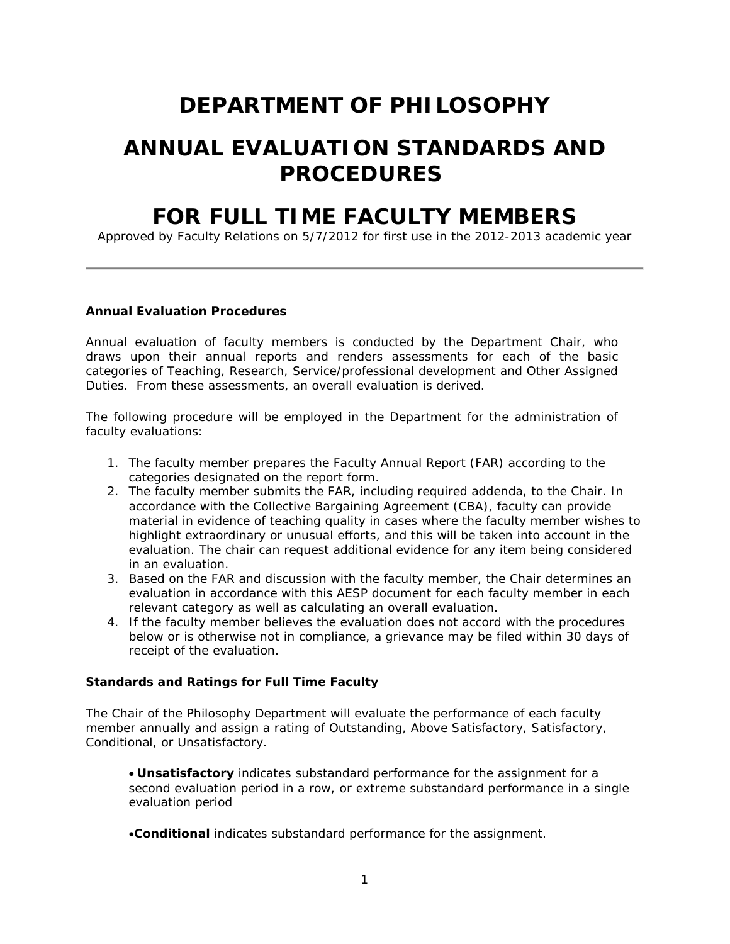# **DEPARTMENT OF PHILOSOPHY**

# **ANNUAL EVALUATION STANDARDS AND PROCEDURES**

# **FOR FULL TIME FACULTY MEMBERS**

Approved by Faculty Relations on 5/7/2012 for first use in the 2012-2013 academic year

#### **Annual Evaluation Procedures**

Annual evaluation of faculty members is conducted by the Department Chair, who draws upon their annual reports and renders assessments for each of the basic categories of Teaching, Research, Service/professional development and Other Assigned Duties. From these assessments, an overall evaluation is derived.

The following procedure will be employed in the Department for the administration of faculty evaluations:

- 1. The faculty member prepares the Faculty Annual Report (FAR) according to the categories designated on the report form.
- 2. The faculty member submits the FAR, including required addenda, to the Chair. In accordance with the Collective Bargaining Agreement (CBA), faculty can provide material in evidence of teaching quality in cases where the faculty member wishes to highlight extraordinary or unusual efforts, and this will be taken into account in the evaluation. The chair can request additional evidence for any item being considered in an evaluation.
- 3. Based on the FAR and discussion with the faculty member, the Chair determines an evaluation in accordance with this AESP document for each faculty member in each relevant category as well as calculating an overall evaluation.
- 4. If the faculty member believes the evaluation does not accord with the procedures below or is otherwise not in compliance, a grievance may be filed within 30 days of receipt of the evaluation.

# **Standards and Ratings for Full Time Faculty**

The Chair of the Philosophy Department will evaluate the performance of each faculty member annually and assign a rating of Outstanding, Above Satisfactory, Satisfactory, Conditional, or Unsatisfactory.

• **Unsatisfactory** indicates substandard performance for the assignment for a second evaluation period in a row, or extreme substandard performance in a single evaluation period

•**Conditional** indicates substandard performance for the assignment.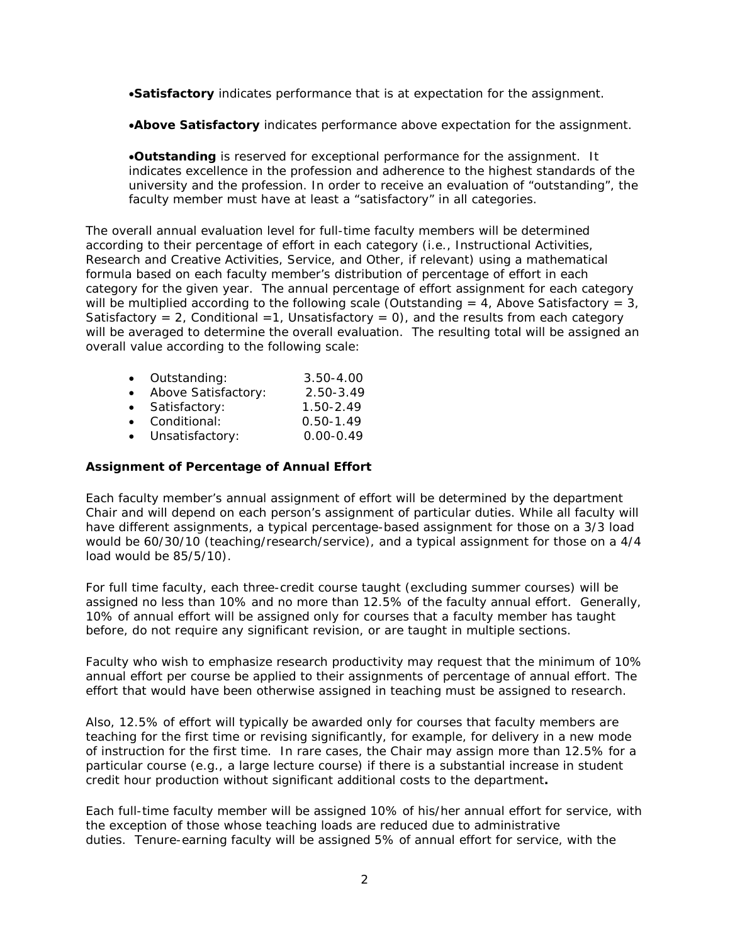•**Satisfactory** indicates performance that is at expectation for the assignment.

•**Above Satisfactory** indicates performance above expectation for the assignment.

•**Outstanding** is reserved for exceptional performance for the assignment. It indicates excellence in the profession and adherence to the highest standards of the university and the profession. In order to receive an evaluation of "outstanding", the faculty member must have at least a "satisfactory" in all categories.

The overall annual evaluation level for full-time faculty members will be determined according to their percentage of effort in each category (i.e., Instructional Activities, Research and Creative Activities, Service, and Other, if relevant) using a mathematical formula based on each faculty member's distribution of percentage of effort in each category for the given year. The annual percentage of effort assignment for each category will be multiplied according to the following scale (Outstanding  $= 4$ , Above Satisfactory  $= 3$ , Satisfactory = 2, Conditional = 1, Unsatisfactory = 0), and the results from each category will be averaged to determine the overall evaluation. The resulting total will be assigned an overall value according to the following scale:

| $\bullet$ | Outstanding:        | $3.50 - 4.00$ |
|-----------|---------------------|---------------|
|           | Above Satisfactory: | 2.50-3.49     |
| $\bullet$ | Satisfactory:       | $1.50 - 2.49$ |
| $\bullet$ | Conditional:        | $0.50 - 1.49$ |
|           | Unsatisfactory:     | $0.00 - 0.49$ |

### **Assignment of Percentage of Annual Effort**

Each faculty member's annual assignment of effort will be determined by the department Chair and will depend on each person's assignment of particular duties. While all faculty will have different assignments, a typical percentage-based assignment for those on a 3/3 load would be 60/30/10 (teaching/research/service), and a typical assignment for those on a 4/4 load would be 85/5/10).

For full time faculty, each three-credit course taught (excluding summer courses) will be assigned no less than 10% and no more than 12.5% of the faculty annual effort. Generally, 10% of annual effort will be assigned only for courses that a faculty member has taught before, do not require any significant revision, or are taught in multiple sections.

Faculty who wish to emphasize research productivity may request that the minimum of 10% annual effort per course be applied to their assignments of percentage of annual effort. The effort that would have been otherwise assigned in teaching must be assigned to research.

Also, 12.5% of effort will typically be awarded only for courses that faculty members are teaching for the first time or revising significantly, for example, for delivery in a new mode of instruction for the first time. In rare cases, the Chair may assign more than 12.5% for a particular course (e.g., a large lecture course) if there is a substantial increase in student credit hour production without significant additional costs to the department**.**

Each full-time faculty member will be assigned 10% of his/her annual effort for service, with the exception of those whose teaching loads are reduced due to administrative duties. Tenure-earning faculty will be assigned 5% of annual effort for service, with the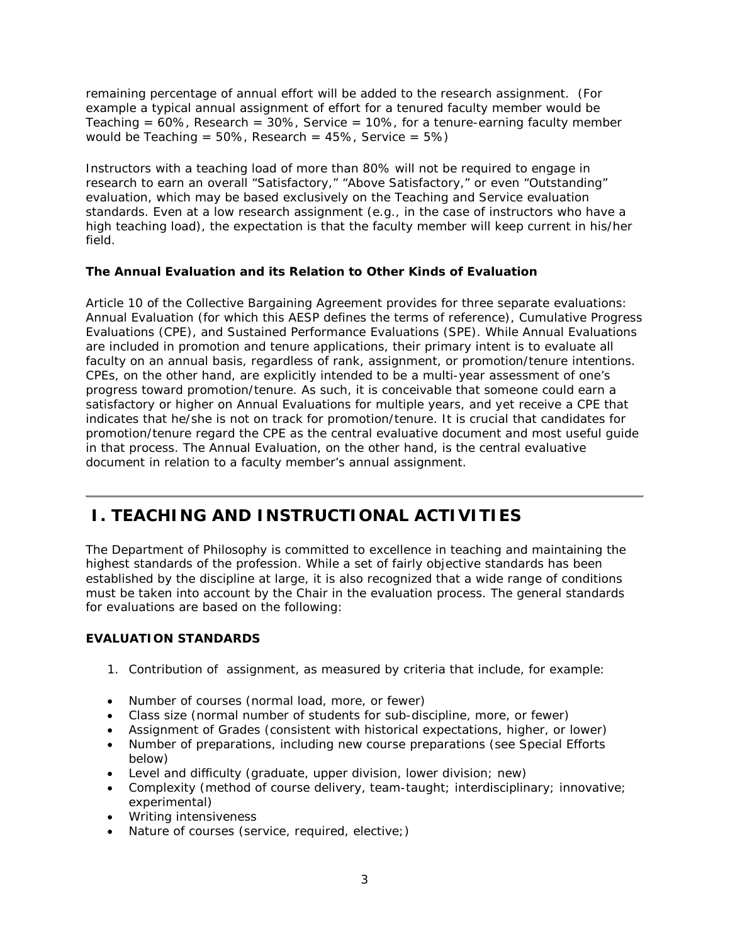remaining percentage of annual effort will be added to the research assignment. (For example a typical annual assignment of effort for a tenured faculty member would be Teaching =  $60\%$ , Research =  $30\%$ , Service =  $10\%$ , for a tenure-earning faculty member would be Teaching =  $50\%$ , Research =  $45\%$ , Service =  $5\%$ )

Instructors with a teaching load of more than 80% will not be required to engage in research to earn an overall "Satisfactory," "Above Satisfactory," or even "Outstanding" evaluation, which may be based exclusively on the Teaching and Service evaluation standards. Even at a low research assignment (e.g., in the case of instructors who have a high teaching load), the expectation is that the faculty member will keep current in his/her field.

# **The Annual Evaluation and its Relation to Other Kinds of Evaluation**

Article 10 of the Collective Bargaining Agreement provides for three separate evaluations: Annual Evaluation (for which this AESP defines the terms of reference), Cumulative Progress Evaluations (CPE), and Sustained Performance Evaluations (SPE). While Annual Evaluations are included in promotion and tenure applications, their primary intent is to evaluate all faculty on an annual basis, regardless of rank, assignment, or promotion/tenure intentions. CPEs, on the other hand, are explicitly intended to be a multi-year assessment of one's progress toward promotion/tenure. As such, it is conceivable that someone could earn a satisfactory or higher on Annual Evaluations for multiple years, and yet receive a CPE that indicates that he/she is not on track for promotion/tenure. It is crucial that candidates for promotion/tenure regard the CPE as the central evaluative document and most useful guide in that process. The Annual Evaluation, on the other hand, is the central evaluative document in relation to a faculty member's annual assignment.

# **I. TEACHING AND INSTRUCTIONAL ACTIVITIES**

The Department of Philosophy is committed to excellence in teaching and maintaining the highest standards of the profession. While a set of fairly objective standards has been established by the discipline at large, it is also recognized that a wide range of conditions must be taken into account by the Chair in the evaluation process. The general standards for evaluations are based on the following:

# **EVALUATION STANDARDS**

- 1. Contribution of assignment, as measured by criteria that include, for example:
- Number of courses (normal load, more, or fewer)
- Class size (normal number of students for sub-discipline, more, or fewer)
- Assignment of Grades (consistent with historical expectations, higher, or lower)
- Number of preparations, including new course preparations (see Special Efforts below)
- Level and difficulty (graduate, upper division, lower division; new)
- Complexity (method of course delivery, team-taught; interdisciplinary; innovative; experimental)
- Writing intensiveness
- Nature of courses (service, required, elective;)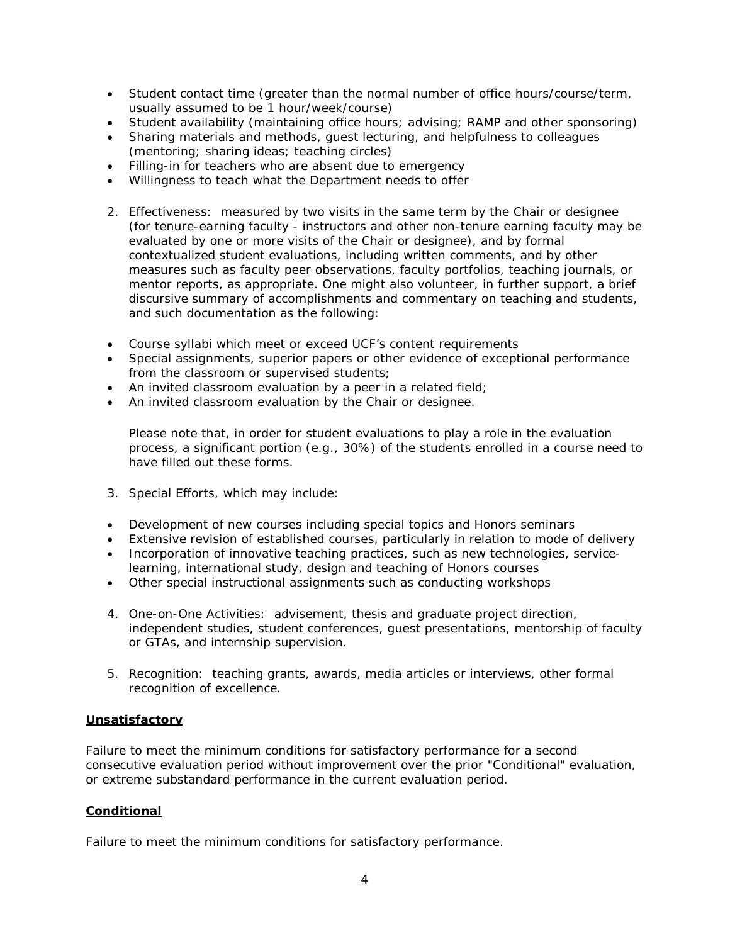- Student contact time (greater than the normal number of office hours/course/term, usually assumed to be 1 hour/week/course)
- Student availability (maintaining office hours; advising; RAMP and other sponsoring)
- Sharing materials and methods, guest lecturing, and helpfulness to colleagues (mentoring; sharing ideas; teaching circles)
- Filling-in for teachers who are absent due to emergency
- Willingness to teach what the Department needs to offer
- 2. Effectiveness: measured by two visits in the same term by the Chair or designee (for tenure-earning faculty - instructors and other non-tenure earning faculty may be evaluated by one or more visits of the Chair or designee), and by formal contextualized student evaluations, including written comments, and by other measures such as faculty peer observations, faculty portfolios, teaching journals, or mentor reports, as appropriate. One might also volunteer, in further support, a brief discursive summary of accomplishments and commentary on teaching and students, and such documentation as the following:
- Course syllabi which meet or exceed UCF's content requirements
- Special assignments, superior papers or other evidence of exceptional performance from the classroom or supervised students;
- An invited classroom evaluation by a peer in a related field;
- An invited classroom evaluation by the Chair or designee.

Please note that, in order for student evaluations to play a role in the evaluation process, a significant portion (e.g., 30%) of the students enrolled in a course need to have filled out these forms.

- 3. Special Efforts, which may include:
- Development of new courses including special topics and Honors seminars
- Extensive revision of established courses, particularly in relation to mode of delivery
- Incorporation of innovative teaching practices, such as new technologies, servicelearning, international study, design and teaching of Honors courses
- Other special instructional assignments such as conducting workshops
- 4. One-on-One Activities: advisement, thesis and graduate project direction, independent studies, student conferences, guest presentations, mentorship of faculty or GTAs, and internship supervision.
- 5. Recognition: teaching grants, awards, media articles or interviews, other formal recognition of excellence.

#### **Unsatisfactory**

Failure to meet the minimum conditions for satisfactory performance for a second consecutive evaluation period without improvement over the prior "Conditional" evaluation, or extreme substandard performance in the current evaluation period.

#### **Conditional**

Failure to meet the minimum conditions for satisfactory performance.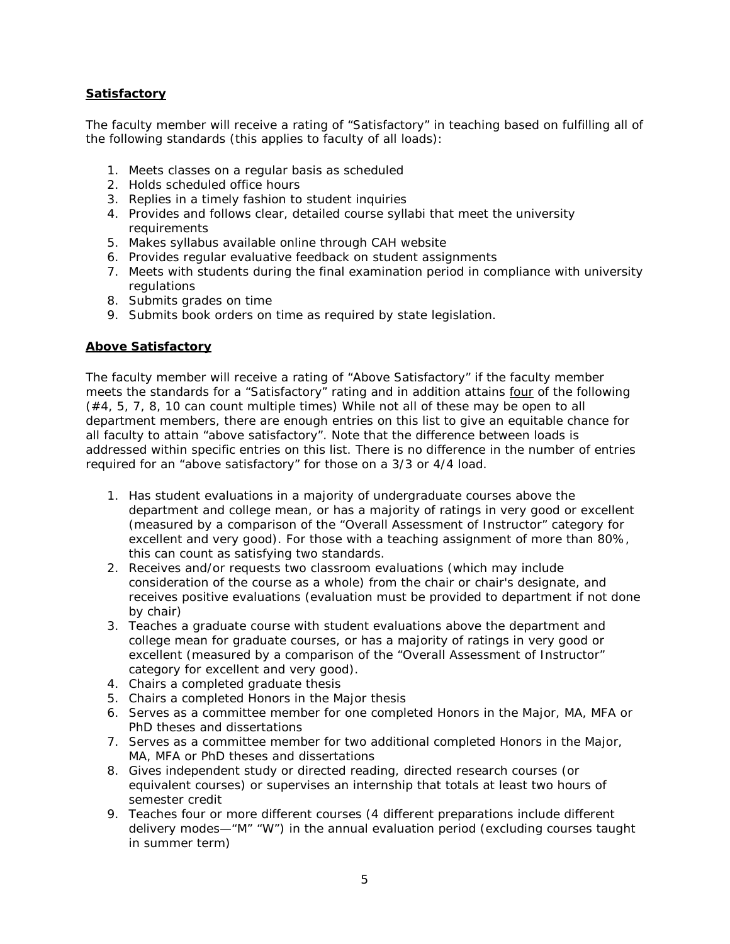# **Satisfactory**

The faculty member will receive a rating of "Satisfactory" in teaching based on fulfilling all of the following standards (this applies to faculty of all loads):

- 1. Meets classes on a regular basis as scheduled
- 2. Holds scheduled office hours
- 3. Replies in a timely fashion to student inquiries
- 4. Provides and follows clear, detailed course syllabi that meet the university requirements
- 5. Makes syllabus available online through CAH website
- 6. Provides regular evaluative feedback on student assignments
- 7. Meets with students during the final examination period in compliance with university regulations
- 8. Submits grades on time
- 9. Submits book orders on time as required by state legislation.

#### **Above Satisfactory**

The faculty member will receive a rating of "Above Satisfactory" if the faculty member meets the standards for a "Satisfactory" rating and in addition attains four of the following (#4, 5, 7, 8, 10 can count multiple times) While not all of these may be open to all department members, there are enough entries on this list to give an equitable chance for all faculty to attain "above satisfactory". Note that the difference between loads is addressed within specific entries on this list. There is no difference in the number of entries required for an "above satisfactory" for those on a 3/3 or 4/4 load.

- 1. Has student evaluations in a majority of undergraduate courses above the department and college mean, or has a majority of ratings in very good or excellent (measured by a comparison of the "Overall Assessment of Instructor" category for excellent and very good). For those with a teaching assignment of more than 80%, this can count as satisfying two standards.
- 2. Receives and/or requests two classroom evaluations (which may include consideration of the course as a whole) from the chair or chair's designate, and receives positive evaluations (evaluation must be provided to department if not done by chair)
- 3. Teaches a graduate course with student evaluations above the department and college mean for graduate courses, or has a majority of ratings in very good or excellent (measured by a comparison of the "Overall Assessment of Instructor" category for excellent and very good).
- 4. Chairs a completed graduate thesis
- 5. Chairs a completed Honors in the Major thesis
- 6. Serves as a committee member for one completed Honors in the Major, MA, MFA or PhD theses and dissertations
- 7. Serves as a committee member for two additional completed Honors in the Major, MA, MFA or PhD theses and dissertations
- 8. Gives independent study or directed reading, directed research courses (or equivalent courses) or supervises an internship that totals at least two hours of semester credit
- 9. Teaches four or more different courses (4 different preparations include different delivery modes—"M" "W") in the annual evaluation period (excluding courses taught in summer term)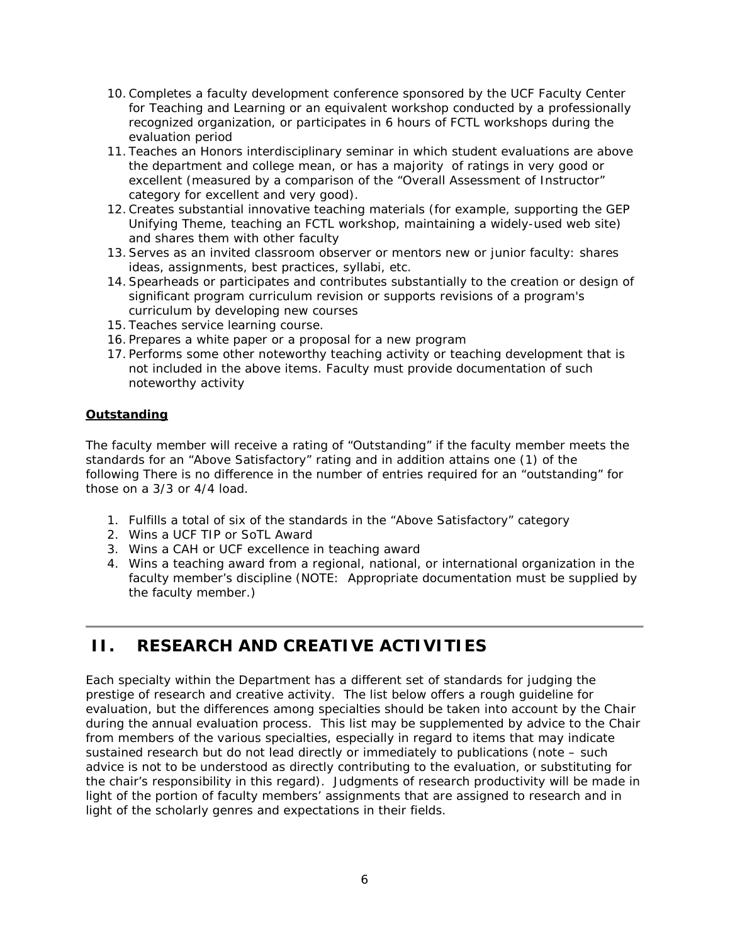- 10.Completes a faculty development conference sponsored by the UCF Faculty Center for Teaching and Learning or an equivalent workshop conducted by a professionally recognized organization, or participates in 6 hours of FCTL workshops during the evaluation period
- 11. Teaches an Honors interdisciplinary seminar in which student evaluations are above the department and college mean, or has a majority of ratings in very good or excellent (measured by a comparison of the "Overall Assessment of Instructor" category for excellent and very good).
- 12.Creates substantial innovative teaching materials (for example, supporting the GEP Unifying Theme, teaching an FCTL workshop, maintaining a widely-used web site) and shares them with other faculty
- 13.Serves as an invited classroom observer or mentors new or junior faculty: shares ideas, assignments, best practices, syllabi, etc.
- 14.Spearheads or participates and contributes substantially to the creation or design of significant program curriculum revision or supports revisions of a program's curriculum by developing new courses
- 15. Teaches service learning course.
- 16. Prepares a white paper or a proposal for a new program
- 17. Performs some other noteworthy teaching activity or teaching development that is not included in the above items. Faculty must provide documentation of such noteworthy activity

#### **Outstanding**

The faculty member will receive a rating of "Outstanding" if the faculty member meets the standards for an "Above Satisfactory" rating and in addition attains one (1) of the following There is no difference in the number of entries required for an "outstanding" for those on a 3/3 or 4/4 load.

- 1. Fulfills a total of six of the standards in the "Above Satisfactory" category
- 2. Wins a UCF TIP or SoTL Award
- 3. Wins a CAH or UCF excellence in teaching award
- 4. Wins a teaching award from a regional, national, or international organization in the faculty member's discipline (NOTE: Appropriate documentation must be supplied by the faculty member.)

# **II. RESEARCH AND CREATIVE ACTIVITIES**

Each specialty within the Department has a different set of standards for judging the prestige of research and creative activity. The list below offers a rough guideline for evaluation, but the differences among specialties should be taken into account by the Chair during the annual evaluation process. This list may be supplemented by advice to the Chair from members of the various specialties, especially in regard to items that may indicate sustained research but do not lead directly or immediately to publications (note – such advice is not to be understood as directly contributing to the evaluation, or substituting for the chair's responsibility in this regard). Judgments of research productivity will be made in light of the portion of faculty members' assignments that are assigned to research and in light of the scholarly genres and expectations in their fields.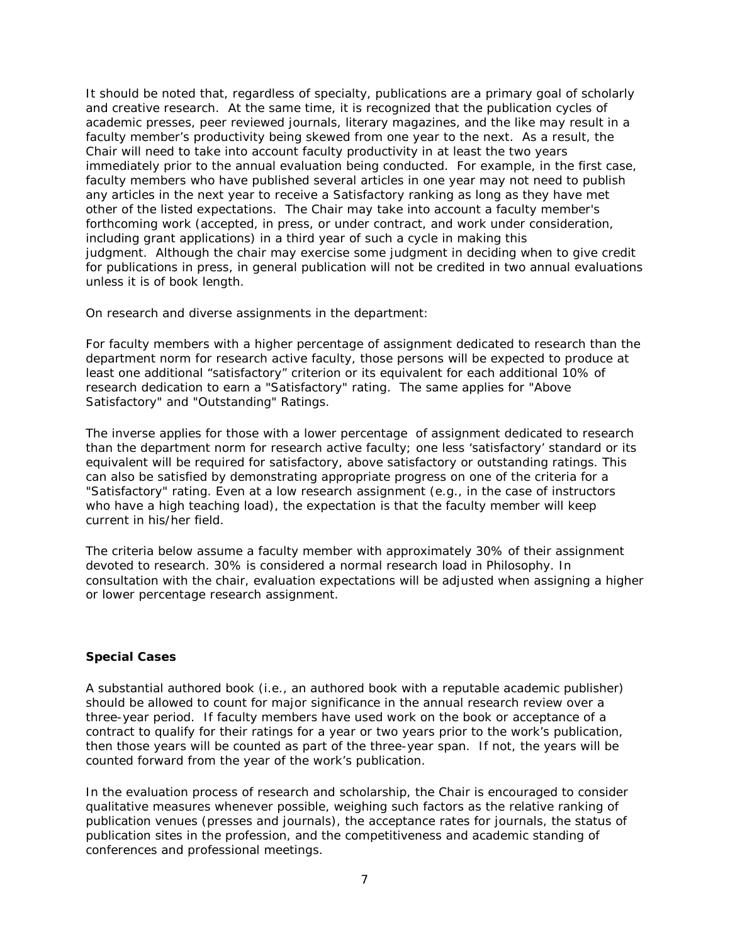It should be noted that, regardless of specialty, publications are a primary goal of scholarly and creative research. At the same time, it is recognized that the publication cycles of academic presses, peer reviewed journals, literary magazines, and the like may result in a faculty member's productivity being skewed from one year to the next. As a result, the Chair will need to take into account faculty productivity in at least the two years immediately prior to the annual evaluation being conducted. For example, in the first case, faculty members who have published several articles in one year may not need to publish any articles in the next year to receive a Satisfactory ranking as long as they have met other of the listed expectations. The Chair may take into account a faculty member's forthcoming work (accepted, in press, or under contract, and work under consideration, including grant applications) in a third year of such a cycle in making this judgment. Although the chair may exercise some judgment in deciding when to give credit for publications in press, in general publication will not be credited in two annual evaluations unless it is of book length.

On research and diverse assignments in the department:

For faculty members with a higher percentage of assignment dedicated to research than the department norm for research active faculty, those persons will be expected to produce at least one additional "satisfactory" criterion or its equivalent for each additional 10% of research dedication to earn a "Satisfactory" rating. The same applies for "Above Satisfactory" and "Outstanding" Ratings.

The inverse applies for those with a lower percentage of assignment dedicated to research than the department norm for research active faculty; one less 'satisfactory' standard or its equivalent will be required for satisfactory, above satisfactory or outstanding ratings. This can also be satisfied by demonstrating appropriate progress on one of the criteria for a "Satisfactory" rating. Even at a low research assignment (e.g., in the case of instructors who have a high teaching load), the expectation is that the faculty member will keep current in his/her field.

The criteria below assume a faculty member with approximately 30% of their assignment devoted to research. 30% is considered a normal research load in Philosophy. In consultation with the chair, evaluation expectations will be adjusted when assigning a higher or lower percentage research assignment.

#### **Special Cases**

A substantial authored book (i.e., an authored book with a reputable academic publisher) should be allowed to count for major significance in the annual research review over a three-year period. If faculty members have used work on the book or acceptance of a contract to qualify for their ratings for a year or two years prior to the work's publication, then those years will be counted as part of the three-year span. If not, the years will be counted forward from the year of the work's publication.

In the evaluation process of research and scholarship, the Chair is encouraged to consider qualitative measures whenever possible, weighing such factors as the relative ranking of publication venues (presses and journals), the acceptance rates for journals, the status of publication sites in the profession, and the competitiveness and academic standing of conferences and professional meetings.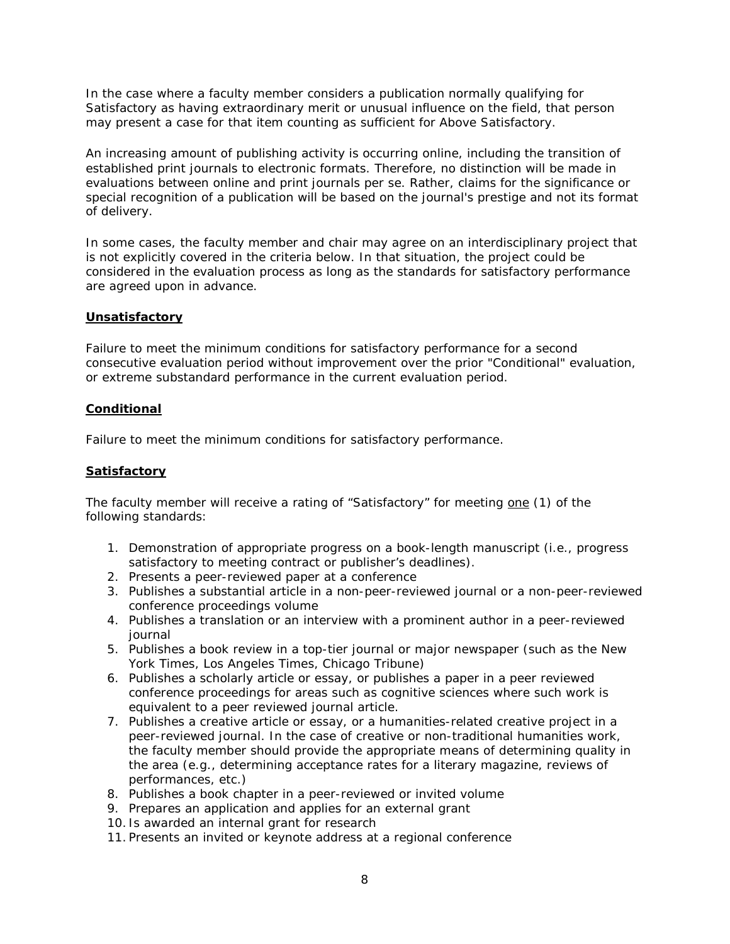In the case where a faculty member considers a publication normally qualifying for Satisfactory as having extraordinary merit or unusual influence on the field, that person may present a case for that item counting as sufficient for Above Satisfactory.

An increasing amount of publishing activity is occurring online, including the transition of established print journals to electronic formats. Therefore, no distinction will be made in evaluations between online and print journals per se. Rather, claims for the significance or special recognition of a publication will be based on the journal's prestige and not its format of delivery.

In some cases, the faculty member and chair may agree on an interdisciplinary project that is not explicitly covered in the criteria below. In that situation, the project could be considered in the evaluation process as long as the standards for satisfactory performance are agreed upon in advance.

#### **Unsatisfactory**

Failure to meet the minimum conditions for satisfactory performance for a second consecutive evaluation period without improvement over the prior "Conditional" evaluation, or extreme substandard performance in the current evaluation period.

#### **Conditional**

Failure to meet the minimum conditions for satisfactory performance.

#### **Satisfactory**

The faculty member will receive a rating of "Satisfactory" for meeting one (1) of the following standards:

- 1. Demonstration of appropriate progress on a book-length manuscript (i.e., progress satisfactory to meeting contract or publisher's deadlines).
- 2. Presents a peer-reviewed paper at a conference
- 3. Publishes a substantial article in a non-peer-reviewed journal or a non-peer-reviewed conference proceedings volume
- 4. Publishes a translation or an interview with a prominent author in a peer-reviewed journal
- 5. Publishes a book review in a top-tier journal or major newspaper (such as the *New York Times*, *Los Angeles Times*, *Chicago Tribune*)
- 6. Publishes a scholarly article or essay, or publishes a paper in a peer reviewed conference proceedings for areas such as cognitive sciences where such work is equivalent to a peer reviewed journal article.
- 7. Publishes a creative article or essay, or a humanities-related creative project in a peer-reviewed journal. In the case of creative or non-traditional humanities work, the faculty member should provide the appropriate means of determining quality in the area (e.g., determining acceptance rates for a literary magazine, reviews of performances, etc.)
- 8. Publishes a book chapter in a peer-reviewed or invited volume
- 9. Prepares an application and applies for an external grant
- 10. Is awarded an internal grant for research
- 11. Presents an invited or keynote address at a regional conference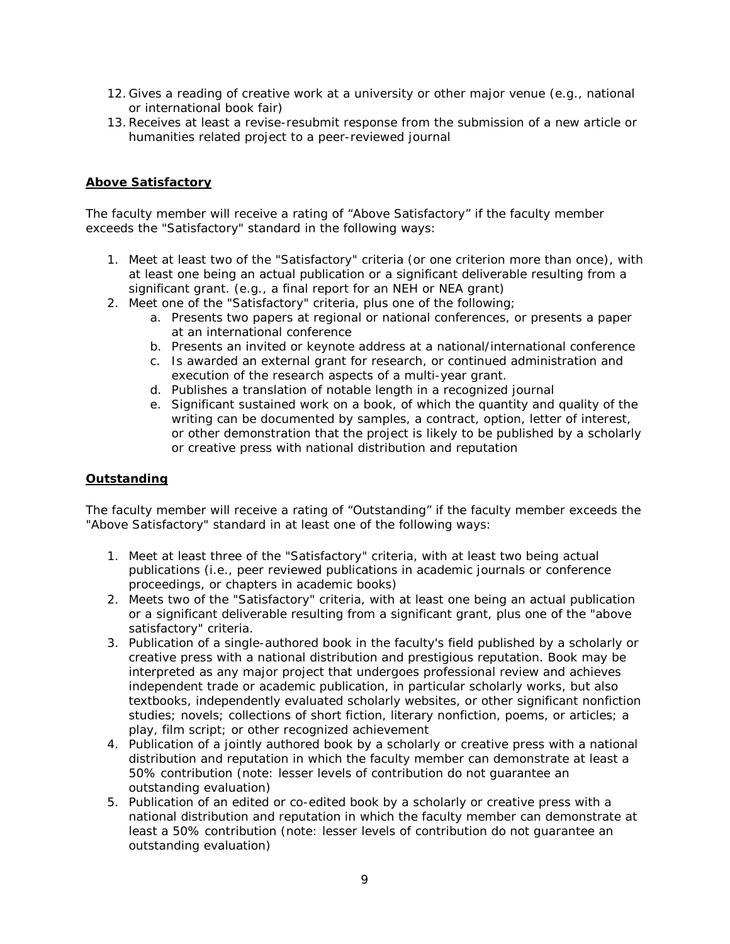- 12. Gives a reading of creative work at a university or other major venue (e.g., national or international book fair)
- 13.Receives at least a revise-resubmit response from the submission of a new article or humanities related project to a peer-reviewed journal

# **Above Satisfactory**

The faculty member will receive a rating of "Above Satisfactory" if the faculty member exceeds the "Satisfactory" standard in the following ways:

- 1. Meet at least two of the "Satisfactory" criteria (or one criterion more than once), with at least one being an actual publication or a significant deliverable resulting from a significant grant. (e.g., a final report for an NEH or NEA grant)
- 2. Meet one of the "Satisfactory" criteria, plus one of the following;
	- a. Presents two papers at regional or national conferences, or presents a paper at an international conference
	- b. Presents an invited or keynote address at a national/international conference
	- c. Is awarded an external grant for research, or continued administration and execution of the research aspects of a multi-year grant.
	- d. Publishes a translation of notable length in a recognized journal
	- e. Significant sustained work on a book, of which the quantity and quality of the writing can be documented by samples, a contract, option, letter of interest, or other demonstration that the project is likely to be published by a scholarly or creative press with national distribution and reputation

# **Outstanding**

The faculty member will receive a rating of "Outstanding" if the faculty member exceeds the "Above Satisfactory" standard in at least one of the following ways:

- 1. Meet at least three of the "Satisfactory" criteria, with at least two being actual publications (i.e., peer reviewed publications in academic journals or conference proceedings, or chapters in academic books)
- 2. Meets two of the "Satisfactory" criteria, with at least one being an actual publication or a significant deliverable resulting from a significant grant, plus one of the "above satisfactory" criteria.
- 3. Publication of a single-authored book in the faculty's field published by a scholarly or creative press with a national distribution and prestigious reputation. Book may be interpreted as any major project that undergoes professional review and achieves independent trade or academic publication, in particular scholarly works, but also textbooks, independently evaluated scholarly websites, or other significant nonfiction studies; novels; collections of short fiction, literary nonfiction, poems, or articles; a play, film script; or other recognized achievement
- 4. Publication of a jointly authored book by a scholarly or creative press with a national distribution and reputation in which the faculty member can demonstrate at least a 50% contribution (note: lesser levels of contribution do not guarantee an outstanding evaluation)
- 5. Publication of an edited or co-edited book by a scholarly or creative press with a national distribution and reputation in which the faculty member can demonstrate at least a 50% contribution (note: lesser levels of contribution do not guarantee an outstanding evaluation)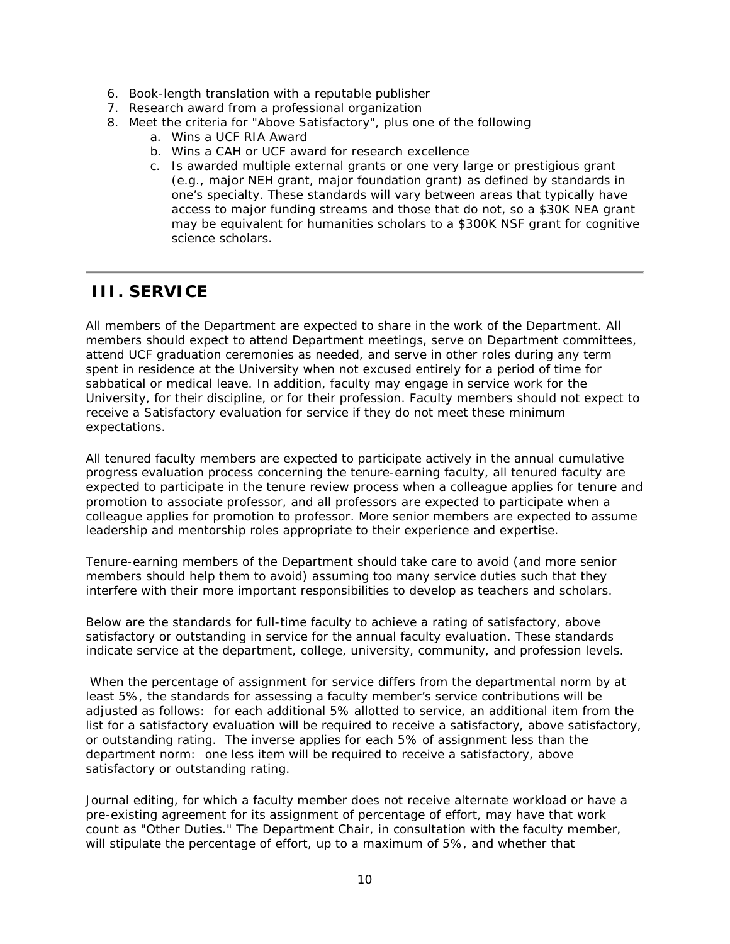- 6. Book-length translation with a reputable publisher
- 7. Research award from a professional organization
- 8. Meet the criteria for "Above Satisfactory", plus one of the following
	- a. Wins a UCF RIA Award
	- b. Wins a CAH or UCF award for research excellence
	- c. Is awarded multiple external grants or one very large or prestigious grant (e.g., major NEH grant, major foundation grant) as defined by standards in one's specialty. These standards will vary between areas that typically have access to major funding streams and those that do not, so a \$30K NEA grant may be equivalent for humanities scholars to a \$300K NSF grant for cognitive science scholars.

# **III. SERVICE**

All members of the Department are expected to share in the work of the Department. All members should expect to attend Department meetings, serve on Department committees, attend UCF graduation ceremonies as needed, and serve in other roles during any term spent in residence at the University when not excused entirely for a period of time for sabbatical or medical leave. In addition, faculty may engage in service work for the University, for their discipline, or for their profession. Faculty members should not expect to receive a Satisfactory evaluation for service if they do not meet these minimum expectations.

All tenured faculty members are expected to participate actively in the annual cumulative progress evaluation process concerning the tenure-earning faculty, all tenured faculty are expected to participate in the tenure review process when a colleague applies for tenure and promotion to associate professor, and all professors are expected to participate when a colleague applies for promotion to professor. More senior members are expected to assume leadership and mentorship roles appropriate to their experience and expertise.

Tenure-earning members of the Department should take care to avoid (and more senior members should help them to avoid) assuming too many service duties such that they interfere with their more important responsibilities to develop as teachers and scholars.

Below are the standards for full-time faculty to achieve a rating of satisfactory, above satisfactory or outstanding in service for the annual faculty evaluation. These standards indicate service at the department, college, university, community, and profession levels.

When the percentage of assignment for service differs from the departmental norm by at least 5%, the standards for assessing a faculty member's service contributions will be adjusted as follows: for each additional 5% allotted to service, an additional item from the list for a satisfactory evaluation will be required to receive a satisfactory, above satisfactory, or outstanding rating. The inverse applies for each 5% of assignment less than the department norm: one less item will be required to receive a satisfactory, above satisfactory or outstanding rating.

Journal editing, for which a faculty member does not receive alternate workload or have a pre-existing agreement for its assignment of percentage of effort, may have that work count as "Other Duties." The Department Chair, in consultation with the faculty member, will stipulate the percentage of effort, up to a maximum of 5%, and whether that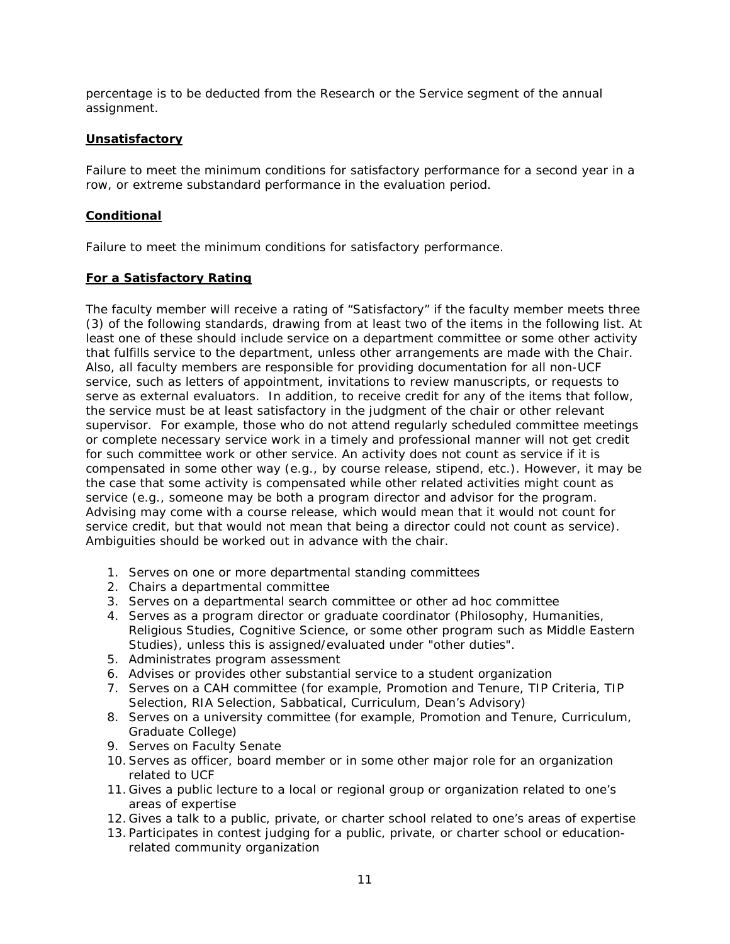percentage is to be deducted from the Research or the Service segment of the annual assignment.

### **Unsatisfactory**

Failure to meet the minimum conditions for satisfactory performance for a second year in a row, or extreme substandard performance in the evaluation period.

### **Conditional**

Failure to meet the minimum conditions for satisfactory performance.

# **For a Satisfactory Rating**

The faculty member will receive a rating of "Satisfactory" if the faculty member meets three (3) of the following standards, drawing from at least two of the items in the following list. At least one of these should include service on a department committee or some other activity that fulfills service to the department, unless other arrangements are made with the Chair. Also, all faculty members are responsible for providing documentation for all non-UCF service, such as letters of appointment, invitations to review manuscripts, or requests to serve as external evaluators. In addition, to receive credit for any of the items that follow, the service must be at least satisfactory in the judgment of the chair or other relevant supervisor. For example, those who do not attend regularly scheduled committee meetings or complete necessary service work in a timely and professional manner will not get credit for such committee work or other service. An activity does not count as service if it is compensated in some other way (e.g., by course release, stipend, etc.). However, it may be the case that some activity is compensated while other related activities might count as service (e.g., someone may be both a program director and advisor for the program. Advising may come with a course release, which would mean that it would not count for service credit, but that would not mean that being a director could not count as service). Ambiguities should be worked out in advance with the chair.

- 1. Serves on one or more departmental standing committees
- 2. Chairs a departmental committee
- 3. Serves on a departmental search committee or other ad hoc committee
- 4. Serves as a program director or graduate coordinator (Philosophy, Humanities, Religious Studies, Cognitive Science, or some other program such as Middle Eastern Studies), unless this is assigned/evaluated under "other duties".
- 5. Administrates program assessment
- 6. Advises or provides other substantial service to a student organization
- 7. Serves on a CAH committee (for example, Promotion and Tenure, TIP Criteria, TIP Selection, RIA Selection, Sabbatical, Curriculum, Dean's Advisory)
- 8. Serves on a university committee (for example, Promotion and Tenure, Curriculum, Graduate College)
- 9. Serves on Faculty Senate
- 10.Serves as officer, board member or in some other major role for an organization related to UCF
- 11. Gives a public lecture to a local or regional group or organization related to one's areas of expertise
- 12. Gives a talk to a public, private, or charter school related to one's areas of expertise
- 13. Participates in contest judging for a public, private, or charter school or educationrelated community organization